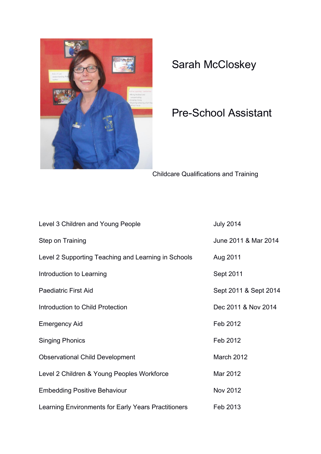

## Sarah McCloskey

## Pre-School Assistant

Childcare Qualifications and Training

| Level 3 Children and Young People                   | <b>July 2014</b>      |
|-----------------------------------------------------|-----------------------|
| <b>Step on Training</b>                             | June 2011 & Mar 2014  |
| Level 2 Supporting Teaching and Learning in Schools | Aug 2011              |
| Introduction to Learning                            | Sept 2011             |
| <b>Paediatric First Aid</b>                         | Sept 2011 & Sept 2014 |
| Introduction to Child Protection                    | Dec 2011 & Nov 2014   |
| <b>Emergency Aid</b>                                | Feb 2012              |
| <b>Singing Phonics</b>                              | Feb 2012              |
| <b>Observational Child Development</b>              | March 2012            |
| Level 2 Children & Young Peoples Workforce          | Mar 2012              |
| <b>Embedding Positive Behaviour</b>                 | Nov 2012              |
| Learning Environments for Early Years Practitioners | Feb 2013              |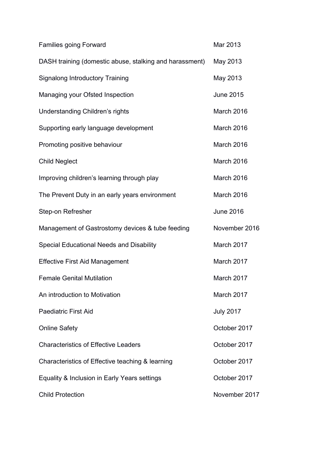| <b>Families going Forward</b>                           | Mar 2013         |
|---------------------------------------------------------|------------------|
| DASH training (domestic abuse, stalking and harassment) | May 2013         |
| <b>Signalong Introductory Training</b>                  | May 2013         |
| Managing your Ofsted Inspection                         | <b>June 2015</b> |
| Understanding Children's rights                         | March 2016       |
| Supporting early language development                   | March 2016       |
| Promoting positive behaviour                            | March 2016       |
| <b>Child Neglect</b>                                    | March 2016       |
| Improving children's learning through play              | March 2016       |
| The Prevent Duty in an early years environment          | March 2016       |
| Step-on Refresher                                       | <b>June 2016</b> |
| Management of Gastrostomy devices & tube feeding        | November 2016    |
| Special Educational Needs and Disability                | March 2017       |
| <b>Effective First Aid Management</b>                   | March 2017       |
| <b>Female Genital Mutilation</b>                        | March 2017       |
| An introduction to Motivation                           | March 2017       |
| <b>Paediatric First Aid</b>                             | <b>July 2017</b> |
| <b>Online Safety</b>                                    | October 2017     |
| <b>Characteristics of Effective Leaders</b>             | October 2017     |
| Characteristics of Effective teaching & learning        | October 2017     |
| Equality & Inclusion in Early Years settings            | October 2017     |
| <b>Child Protection</b>                                 | November 2017    |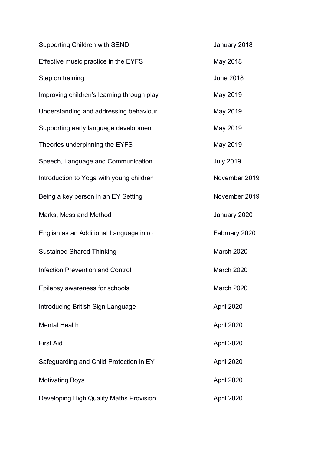| <b>Supporting Children with SEND</b>       | January 2018     |
|--------------------------------------------|------------------|
| Effective music practice in the EYFS       | May 2018         |
| Step on training                           | <b>June 2018</b> |
| Improving children's learning through play | May 2019         |
| Understanding and addressing behaviour     | May 2019         |
| Supporting early language development      | May 2019         |
| Theories underpinning the EYFS             | May 2019         |
| Speech, Language and Communication         | <b>July 2019</b> |
| Introduction to Yoga with young children   | November 2019    |
| Being a key person in an EY Setting        | November 2019    |
| Marks, Mess and Method                     | January 2020     |
| English as an Additional Language intro    | February 2020    |
| <b>Sustained Shared Thinking</b>           | March 2020       |
| <b>Infection Prevention and Control</b>    | March 2020       |
| Epilepsy awareness for schools             | March 2020       |
| Introducing British Sign Language          | April 2020       |
| <b>Mental Health</b>                       | April 2020       |
| <b>First Aid</b>                           | April 2020       |
| Safeguarding and Child Protection in EY    | April 2020       |
| <b>Motivating Boys</b>                     | April 2020       |
| Developing High Quality Maths Provision    | April 2020       |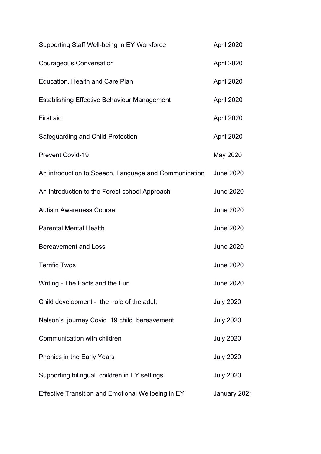| Supporting Staff Well-being in EY Workforce               | April 2020       |
|-----------------------------------------------------------|------------------|
| <b>Courageous Conversation</b>                            | April 2020       |
| Education, Health and Care Plan                           | April 2020       |
| <b>Establishing Effective Behaviour Management</b>        | April 2020       |
| First aid                                                 | April 2020       |
| Safeguarding and Child Protection                         | April 2020       |
| <b>Prevent Covid-19</b>                                   | May 2020         |
| An introduction to Speech, Language and Communication     | <b>June 2020</b> |
| An Introduction to the Forest school Approach             | <b>June 2020</b> |
| <b>Autism Awareness Course</b>                            | <b>June 2020</b> |
| <b>Parental Mental Health</b>                             | <b>June 2020</b> |
| <b>Bereavement and Loss</b>                               | <b>June 2020</b> |
| <b>Terrific Twos</b>                                      | <b>June 2020</b> |
| Writing - The Facts and the Fun                           | <b>June 2020</b> |
| Child development - the role of the adult                 | <b>July 2020</b> |
| Nelson's journey Covid 19 child bereavement               | <b>July 2020</b> |
| Communication with children                               | <b>July 2020</b> |
| Phonics in the Early Years                                | <b>July 2020</b> |
| Supporting bilingual children in EY settings              | <b>July 2020</b> |
| <b>Effective Transition and Emotional Wellbeing in EY</b> | January 2021     |